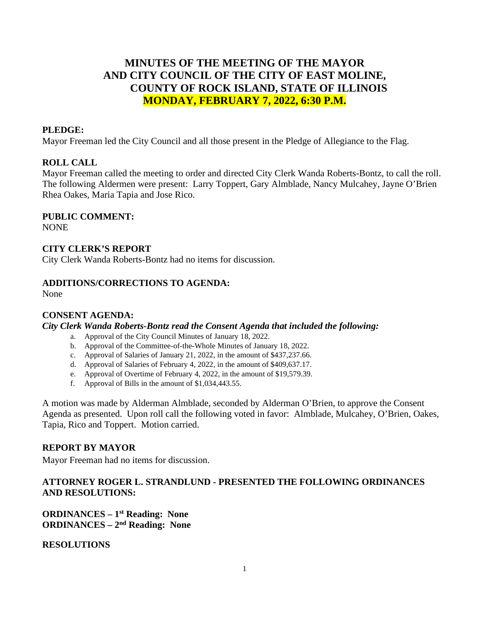# **MINUTES OF THE MEETING OF THE MAYOR AND CITY COUNCIL OF THE CITY OF EAST MOLINE, COUNTY OF ROCK ISLAND, STATE OF ILLINOIS MONDAY, FEBRUARY 7, 2022, 6:30 P.M.**

### **PLEDGE:**

Mayor Freeman led the City Council and all those present in the Pledge of Allegiance to the Flag.

#### **ROLL CALL**

Mayor Freeman called the meeting to order and directed City Clerk Wanda Roberts-Bontz, to call the roll. The following Aldermen were present: Larry Toppert, Gary Almblade, Nancy Mulcahey, Jayne O'Brien Rhea Oakes, Maria Tapia and Jose Rico.

#### **PUBLIC COMMENT:**

NONE

#### **CITY CLERK'S REPORT**

City Clerk Wanda Roberts-Bontz had no items for discussion.

#### **ADDITIONS/CORRECTIONS TO AGENDA:**

None

#### **CONSENT AGENDA:**

#### *City Clerk Wanda Roberts-Bontz read the Consent Agenda that included the following:*

- a. Approval of the City Council Minutes of January 18, 2022.
- b. Approval of the Committee-of-the-Whole Minutes of January 18, 2022.
- c. Approval of Salaries of January 21, 2022, in the amount of \$437,237.66.
- d. Approval of Salaries of February 4, 2022, in the amount of \$409,637.17.
- e. Approval of Overtime of February 4, 2022, in the amount of \$19,579.39.
- f. Approval of Bills in the amount of \$1,034,443.55.

A motion was made by Alderman Almblade, seconded by Alderman O'Brien, to approve the Consent Agenda as presented. Upon roll call the following voted in favor: Almblade, Mulcahey, O'Brien, Oakes, Tapia, Rico and Toppert. Motion carried.

#### **REPORT BY MAYOR**

Mayor Freeman had no items for discussion.

# **ATTORNEY ROGER L. STRANDLUND - PRESENTED THE FOLLOWING ORDINANCES AND RESOLUTIONS:**

**ORDINANCES – 1st Reading: None ORDINANCES – 2nd Reading: None**

**RESOLUTIONS**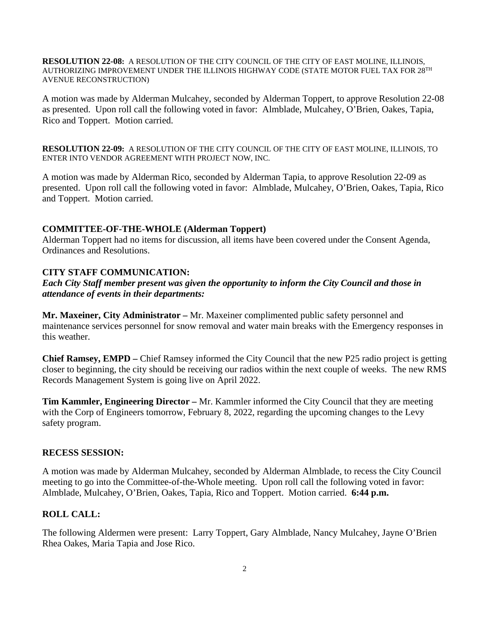**RESOLUTION 22-08:** A RESOLUTION OF THE CITY COUNCIL OF THE CITY OF EAST MOLINE, ILLINOIS, AUTHORIZING IMPROVEMENT UNDER THE ILLINOIS HIGHWAY CODE (STATE MOTOR FUEL TAX FOR 28TH AVENUE RECONSTRUCTION)

A motion was made by Alderman Mulcahey, seconded by Alderman Toppert, to approve Resolution 22-08 as presented. Upon roll call the following voted in favor: Almblade, Mulcahey, O'Brien, Oakes, Tapia, Rico and Toppert. Motion carried.

**RESOLUTION 22-09:** A RESOLUTION OF THE CITY COUNCIL OF THE CITY OF EAST MOLINE, ILLINOIS, TO ENTER INTO VENDOR AGREEMENT WITH PROJECT NOW, INC.

A motion was made by Alderman Rico, seconded by Alderman Tapia, to approve Resolution 22-09 as presented. Upon roll call the following voted in favor: Almblade, Mulcahey, O'Brien, Oakes, Tapia, Rico and Toppert. Motion carried.

# **COMMITTEE-OF-THE-WHOLE (Alderman Toppert)**

Alderman Toppert had no items for discussion, all items have been covered under the Consent Agenda, Ordinances and Resolutions.

# **CITY STAFF COMMUNICATION:**

*Each City Staff member present was given the opportunity to inform the City Council and those in attendance of events in their departments:* 

**Mr. Maxeiner, City Administrator –** Mr. Maxeiner complimented public safety personnel and maintenance services personnel for snow removal and water main breaks with the Emergency responses in this weather.

**Chief Ramsey, EMPD –** Chief Ramsey informed the City Council that the new P25 radio project is getting closer to beginning, the city should be receiving our radios within the next couple of weeks. The new RMS Records Management System is going live on April 2022.

**Tim Kammler, Engineering Director –** Mr. Kammler informed the City Council that they are meeting with the Corp of Engineers tomorrow, February 8, 2022, regarding the upcoming changes to the Levy safety program.

### **RECESS SESSION:**

A motion was made by Alderman Mulcahey, seconded by Alderman Almblade, to recess the City Council meeting to go into the Committee-of-the-Whole meeting. Upon roll call the following voted in favor: Almblade, Mulcahey, O'Brien, Oakes, Tapia, Rico and Toppert. Motion carried. **6:44 p.m.**

# **ROLL CALL:**

The following Aldermen were present: Larry Toppert, Gary Almblade, Nancy Mulcahey, Jayne O'Brien Rhea Oakes, Maria Tapia and Jose Rico.